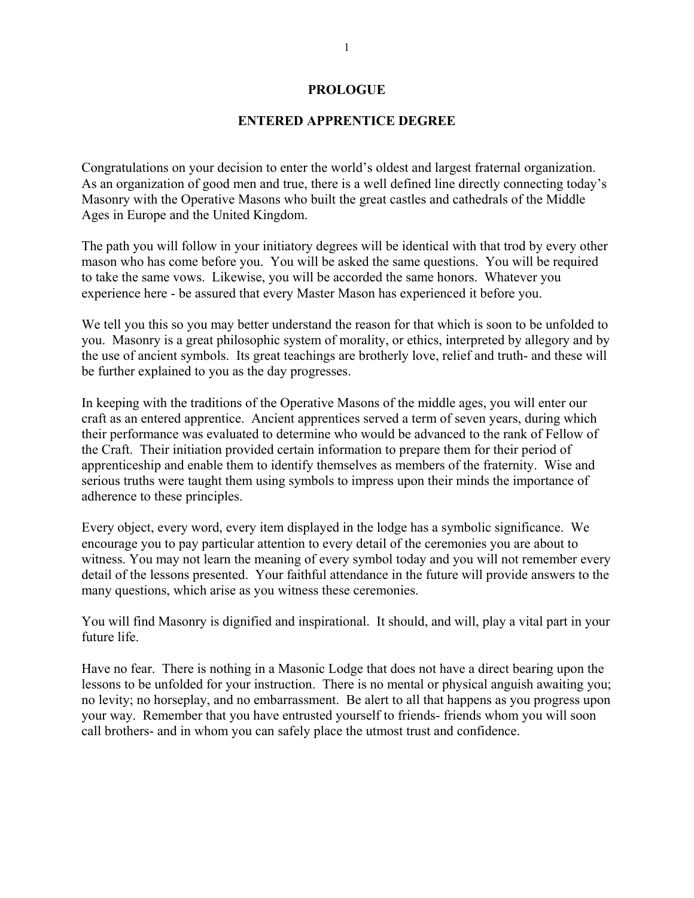### **PROLOGUE**

# **ENTERED APPRENTICE DEGREE**

Congratulations on your decision to enter the world's oldest and largest fraternal organization. As an organization of good men and true, there is a well defined line directly connecting today's Masonry with the Operative Masons who built the great castles and cathedrals of the Middle Ages in Europe and the United Kingdom.

The path you will follow in your initiatory degrees will be identical with that trod by every other mason who has come before you. You will be asked the same questions. You will be required to take the same vows. Likewise, you will be accorded the same honors. Whatever you experience here - be assured that every Master Mason has experienced it before you.

We tell you this so you may better understand the reason for that which is soon to be unfolded to you. Masonry is a great philosophic system of morality, or ethics, interpreted by allegory and by the use of ancient symbols. Its great teachings are brotherly love, relief and truth- and these will be further explained to you as the day progresses.

In keeping with the traditions of the Operative Masons of the middle ages, you will enter our craft as an entered apprentice. Ancient apprentices served a term of seven years, during which their performance was evaluated to determine who would be advanced to the rank of Fellow of the Craft. Their initiation provided certain information to prepare them for their period of apprenticeship and enable them to identify themselves as members of the fraternity. Wise and serious truths were taught them using symbols to impress upon their minds the importance of adherence to these principles.

Every object, every word, every item displayed in the lodge has a symbolic significance. We encourage you to pay particular attention to every detail of the ceremonies you are about to witness. You may not learn the meaning of every symbol today and you will not remember every detail of the lessons presented. Your faithful attendance in the future will provide answers to the many questions, which arise as you witness these ceremonies.

You will find Masonry is dignified and inspirational. It should, and will, play a vital part in your future life.

Have no fear. There is nothing in a Masonic Lodge that does not have a direct bearing upon the lessons to be unfolded for your instruction. There is no mental or physical anguish awaiting you; no levity; no horseplay, and no embarrassment. Be alert to all that happens as you progress upon your way. Remember that you have entrusted yourself to friends- friends whom you will soon call brothers- and in whom you can safely place the utmost trust and confidence.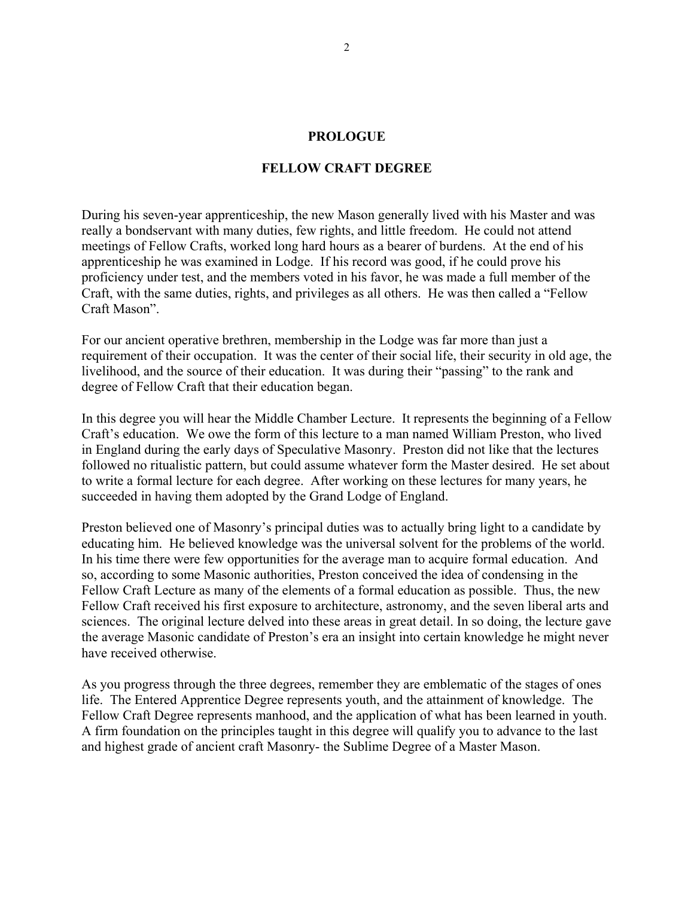### **PROLOGUE**

## **FELLOW CRAFT DEGREE**

During his seven-year apprenticeship, the new Mason generally lived with his Master and was really a bondservant with many duties, few rights, and little freedom. He could not attend meetings of Fellow Crafts, worked long hard hours as a bearer of burdens. At the end of his apprenticeship he was examined in Lodge. If his record was good, if he could prove his proficiency under test, and the members voted in his favor, he was made a full member of the Craft, with the same duties, rights, and privileges as all others. He was then called a "Fellow Craft Mason".

For our ancient operative brethren, membership in the Lodge was far more than just a requirement of their occupation. It was the center of their social life, their security in old age, the livelihood, and the source of their education. It was during their "passing" to the rank and degree of Fellow Craft that their education began.

In this degree you will hear the Middle Chamber Lecture. It represents the beginning of a Fellow Craft's education. We owe the form of this lecture to a man named William Preston, who lived in England during the early days of Speculative Masonry. Preston did not like that the lectures followed no ritualistic pattern, but could assume whatever form the Master desired. He set about to write a formal lecture for each degree. After working on these lectures for many years, he succeeded in having them adopted by the Grand Lodge of England.

Preston believed one of Masonry's principal duties was to actually bring light to a candidate by educating him. He believed knowledge was the universal solvent for the problems of the world. In his time there were few opportunities for the average man to acquire formal education. And so, according to some Masonic authorities, Preston conceived the idea of condensing in the Fellow Craft Lecture as many of the elements of a formal education as possible. Thus, the new Fellow Craft received his first exposure to architecture, astronomy, and the seven liberal arts and sciences. The original lecture delved into these areas in great detail. In so doing, the lecture gave the average Masonic candidate of Preston's era an insight into certain knowledge he might never have received otherwise.

As you progress through the three degrees, remember they are emblematic of the stages of ones life. The Entered Apprentice Degree represents youth, and the attainment of knowledge. The Fellow Craft Degree represents manhood, and the application of what has been learned in youth. A firm foundation on the principles taught in this degree will qualify you to advance to the last and highest grade of ancient craft Masonry- the Sublime Degree of a Master Mason.